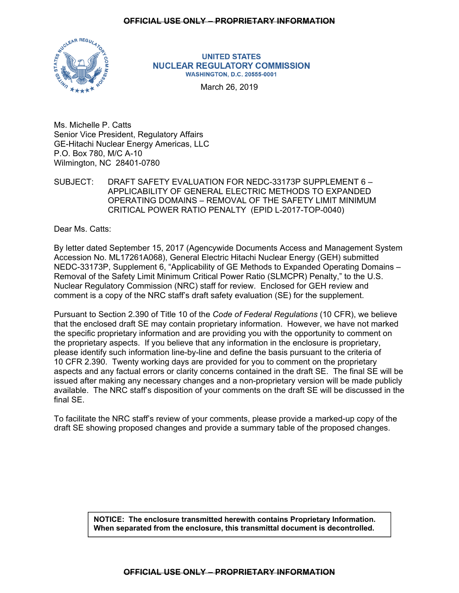

**UNITED STATES NUCLEAR REGULATORY COMMISSION WASHINGTON, D.C. 20555-0001** 

March 26, 2019

Ms. Michelle P. Catts Senior Vice President, Regulatory Affairs GE-Hitachi Nuclear Energy Americas, LLC P.O. Box 780, M/C A-10 Wilmington, NC 28401-0780

SUBJECT: DRAFT SAFETY EVALUATION FOR NEDC-33173P SUPPLEMENT 6 – APPLICABILITY OF GENERAL ELECTRIC METHODS TO EXPANDED OPERATING DOMAINS – REMOVAL OF THE SAFETY LIMIT MINIMUM CRITICAL POWER RATIO PENALTY (EPID L-2017-TOP-0040)

Dear Ms. Catts:

By letter dated September 15, 2017 (Agencywide Documents Access and Management System Accession No. ML17261A068), General Electric Hitachi Nuclear Energy (GEH) submitted NEDC-33173P, Supplement 6, "Applicability of GE Methods to Expanded Operating Domains – Removal of the Safety Limit Minimum Critical Power Ratio (SLMCPR) Penalty," to the U.S. Nuclear Regulatory Commission (NRC) staff for review. Enclosed for GEH review and comment is a copy of the NRC staff's draft safety evaluation (SE) for the supplement.

Pursuant to Section 2.390 of Title 10 of the *Code of Federal Regulations* (10 CFR), we believe that the enclosed draft SE may contain proprietary information. However, we have not marked the specific proprietary information and are providing you with the opportunity to comment on the proprietary aspects. If you believe that any information in the enclosure is proprietary, please identify such information line-by-line and define the basis pursuant to the criteria of 10 CFR 2.390. Twenty working days are provided for you to comment on the proprietary aspects and any factual errors or clarity concerns contained in the draft SE. The final SE will be issued after making any necessary changes and a non-proprietary version will be made publicly available. The NRC staff's disposition of your comments on the draft SE will be discussed in the final SE.

To facilitate the NRC staff's review of your comments, please provide a marked-up copy of the draft SE showing proposed changes and provide a summary table of the proposed changes.

> **NOTICE: The enclosure transmitted herewith contains Proprietary Information. When separated from the enclosure, this transmittal document is decontrolled.**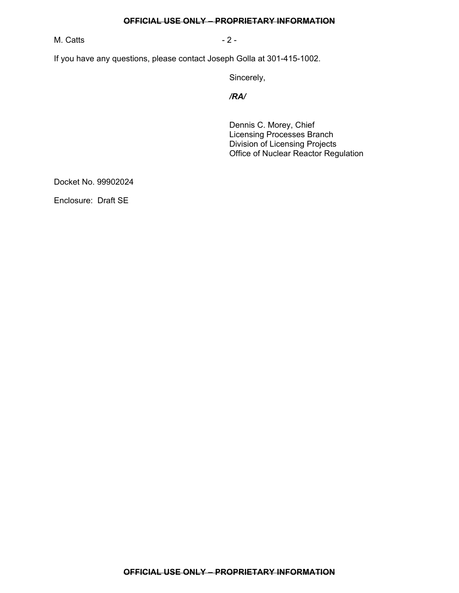M. Catts **- 2 -** 2 -

If you have any questions, please contact Joseph Golla at 301-415-1002.

Sincerely,

*/RA/* 

Dennis C. Morey, Chief Licensing Processes Branch Division of Licensing Projects Office of Nuclear Reactor Regulation

Docket No. 99902024

Enclosure: Draft SE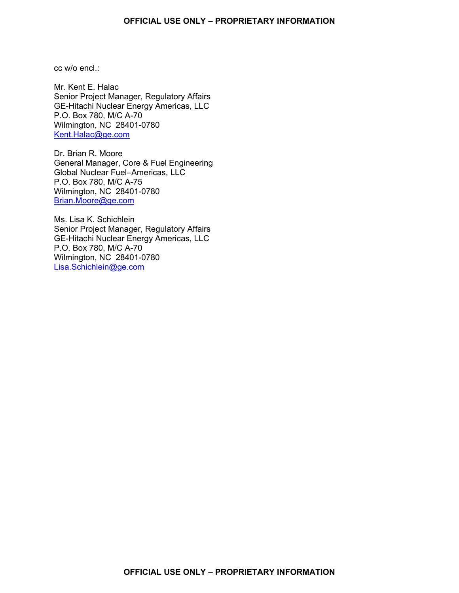cc w/o encl :

Mr. Kent E. Halac Senior Project Manager, Regulatory Affairs GE-Hitachi Nuclear Energy Americas, LLC P.O. Box 780, M/C A-70 Wilmington, NC 28401-0780 Kent.Halac@ge.com

Dr. Brian R. Moore General Manager, Core & Fuel Engineering Global Nuclear Fuel–Americas, LLC P.O. Box 780, M/C A-75 Wilmington, NC 28401-0780 Brian.Moore@ge.com

Ms. Lisa K. Schichlein Senior Project Manager, Regulatory Affairs GE-Hitachi Nuclear Energy Americas, LLC P.O. Box 780, M/C A-70 Wilmington, NC 28401-0780 Lisa.Schichlein@ge.com